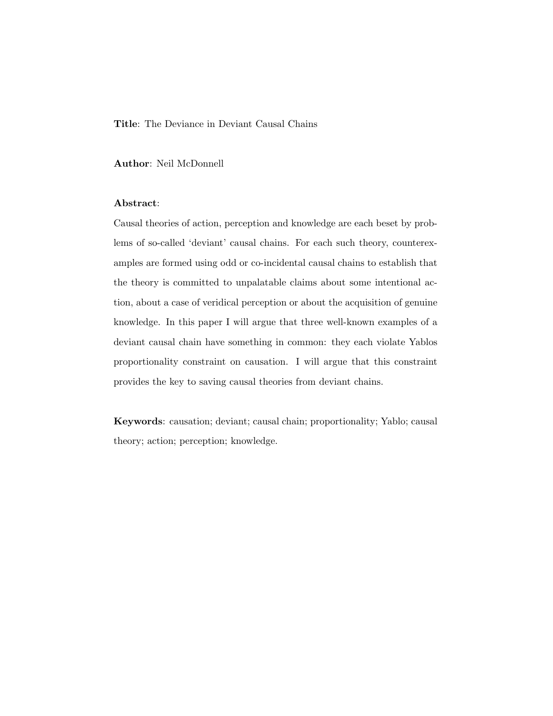Title: The Deviance in Deviant Causal Chains

Author: Neil McDonnell

#### Abstract:

Causal theories of action, perception and knowledge are each beset by problems of so-called 'deviant' causal chains. For each such theory, counterexamples are formed using odd or co-incidental causal chains to establish that the theory is committed to unpalatable claims about some intentional action, about a case of veridical perception or about the acquisition of genuine knowledge. In this paper I will argue that three well-known examples of a deviant causal chain have something in common: they each violate Yablos proportionality constraint on causation. I will argue that this constraint provides the key to saving causal theories from deviant chains.

Keywords: causation; deviant; causal chain; proportionality; Yablo; causal theory; action; perception; knowledge.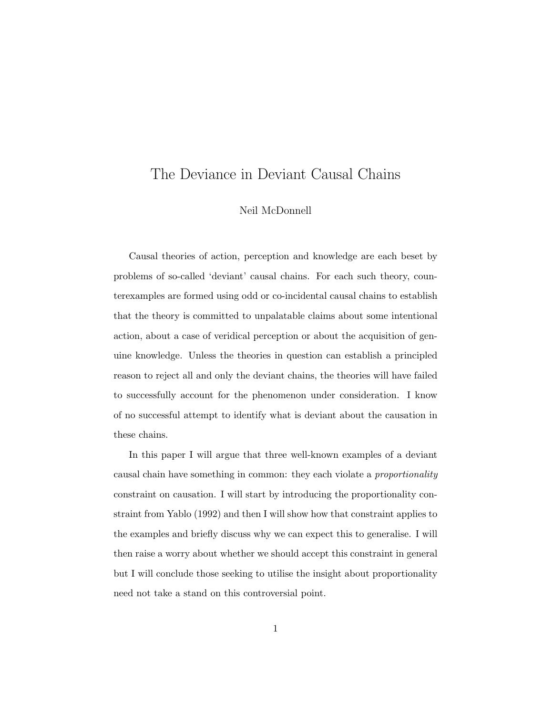# The Deviance in Deviant Causal Chains

#### Neil McDonnell

Causal theories of action, perception and knowledge are each beset by problems of so-called 'deviant' causal chains. For each such theory, counterexamples are formed using odd or co-incidental causal chains to establish that the theory is committed to unpalatable claims about some intentional action, about a case of veridical perception or about the acquisition of genuine knowledge. Unless the theories in question can establish a principled reason to reject all and only the deviant chains, the theories will have failed to successfully account for the phenomenon under consideration. I know of no successful attempt to identify what is deviant about the causation in these chains.

In this paper I will argue that three well-known examples of a deviant causal chain have something in common: they each violate a *proportionality* constraint on causation. I will start by introducing the proportionality constraint from Yablo (1992) and then I will show how that constraint applies to the examples and briefly discuss why we can expect this to generalise. I will then raise a worry about whether we should accept this constraint in general but I will conclude those seeking to utilise the insight about proportionality need not take a stand on this controversial point.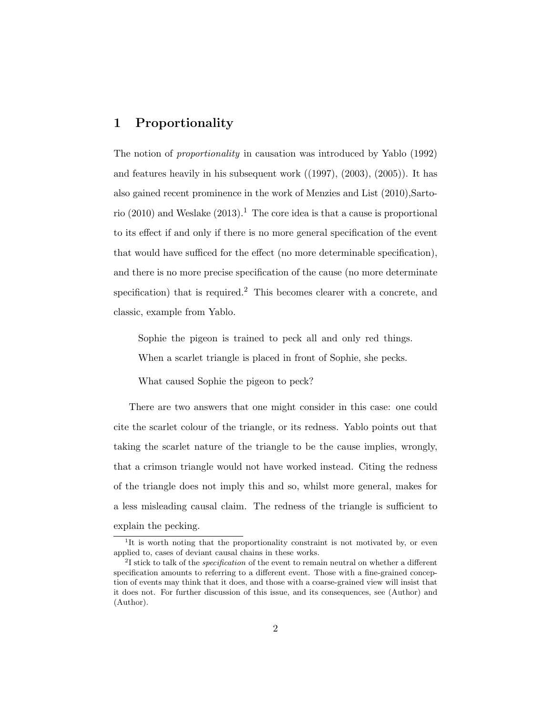## 1 Proportionality

The notion of *proportionality* in causation was introduced by Yablo (1992) and features heavily in his subsequent work ((1997), (2003), (2005)). It has also gained recent prominence in the work of Menzies and List (2010),Sartorio (2010) and Weslake (2013).<sup>1</sup> The core idea is that a cause is proportional to its effect if and only if there is no more general specification of the event that would have sufficed for the effect (no more determinable specification), and there is no more precise specification of the cause (no more determinate specification) that is required.<sup>2</sup> This becomes clearer with a concrete, and classic, example from Yablo.

Sophie the pigeon is trained to peck all and only red things.

When a scarlet triangle is placed in front of Sophie, she pecks.

What caused Sophie the pigeon to peck?

There are two answers that one might consider in this case: one could cite the scarlet colour of the triangle, or its redness. Yablo points out that taking the scarlet nature of the triangle to be the cause implies, wrongly, that a crimson triangle would not have worked instead. Citing the redness of the triangle does not imply this and so, whilst more general, makes for a less misleading causal claim. The redness of the triangle is sufficient to explain the pecking.

<sup>&</sup>lt;sup>1</sup>It is worth noting that the proportionality constraint is not motivated by, or even applied to, cases of deviant causal chains in these works.

 $2I$  stick to talk of the *specification* of the event to remain neutral on whether a different specification amounts to referring to a different event. Those with a fine-grained conception of events may think that it does, and those with a coarse-grained view will insist that it does not. For further discussion of this issue, and its consequences, see (Author) and (Author).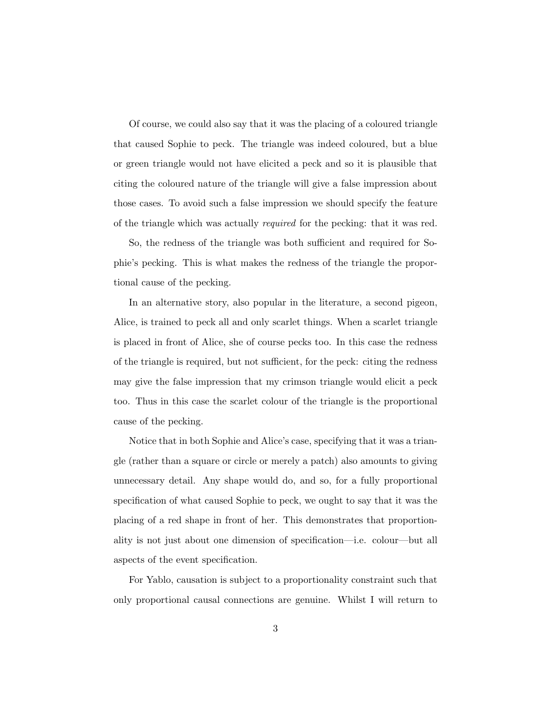Of course, we could also say that it was the placing of a coloured triangle that caused Sophie to peck. The triangle was indeed coloured, but a blue or green triangle would not have elicited a peck and so it is plausible that citing the coloured nature of the triangle will give a false impression about those cases. To avoid such a false impression we should specify the feature of the triangle which was actually *required* for the pecking: that it was red.

So, the redness of the triangle was both sufficient and required for Sophie's pecking. This is what makes the redness of the triangle the proportional cause of the pecking.

In an alternative story, also popular in the literature, a second pigeon, Alice, is trained to peck all and only scarlet things. When a scarlet triangle is placed in front of Alice, she of course pecks too. In this case the redness of the triangle is required, but not sufficient, for the peck: citing the redness may give the false impression that my crimson triangle would elicit a peck too. Thus in this case the scarlet colour of the triangle is the proportional cause of the pecking.

Notice that in both Sophie and Alice's case, specifying that it was a triangle (rather than a square or circle or merely a patch) also amounts to giving unnecessary detail. Any shape would do, and so, for a fully proportional specification of what caused Sophie to peck, we ought to say that it was the placing of a red shape in front of her. This demonstrates that proportionality is not just about one dimension of specification—i.e. colour—but all aspects of the event specification.

For Yablo, causation is subject to a proportionality constraint such that only proportional causal connections are genuine. Whilst I will return to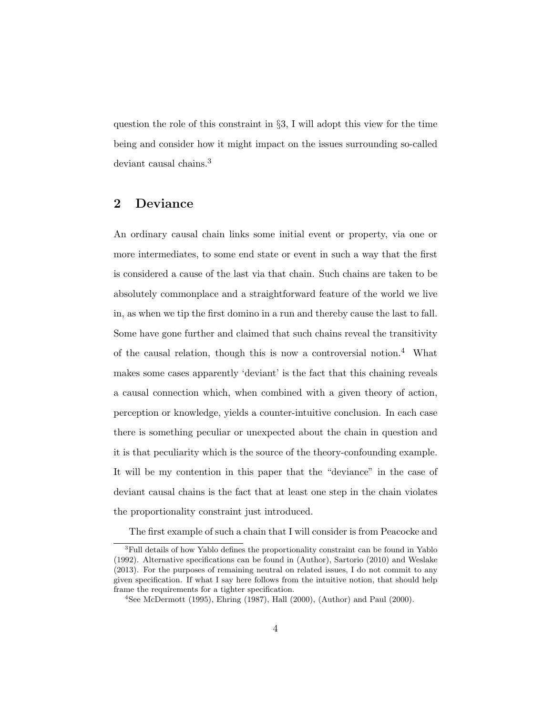question the role of this constraint in *§*3, I will adopt this view for the time being and consider how it might impact on the issues surrounding so-called deviant causal chains.<sup>3</sup>

#### 2 Deviance

An ordinary causal chain links some initial event or property, via one or more intermediates, to some end state or event in such a way that the first is considered a cause of the last via that chain. Such chains are taken to be absolutely commonplace and a straightforward feature of the world we live in, as when we tip the first domino in a run and thereby cause the last to fall. Some have gone further and claimed that such chains reveal the transitivity of the causal relation, though this is now a controversial notion.<sup>4</sup> What makes some cases apparently 'deviant' is the fact that this chaining reveals a causal connection which, when combined with a given theory of action, perception or knowledge, yields a counter-intuitive conclusion. In each case there is something peculiar or unexpected about the chain in question and it is that peculiarity which is the source of the theory-confounding example. It will be my contention in this paper that the "deviance" in the case of deviant causal chains is the fact that at least one step in the chain violates the proportionality constraint just introduced.

The first example of such a chain that I will consider is from Peacocke and

<sup>3</sup>Full details of how Yablo defines the proportionality constraint can be found in Yablo (1992). Alternative specifications can be found in (Author), Sartorio (2010) and Weslake (2013). For the purposes of remaining neutral on related issues, I do not commit to any given specification. If what I say here follows from the intuitive notion, that should help frame the requirements for a tighter specification.

<sup>4</sup>See McDermott (1995), Ehring (1987), Hall (2000), (Author) and Paul (2000).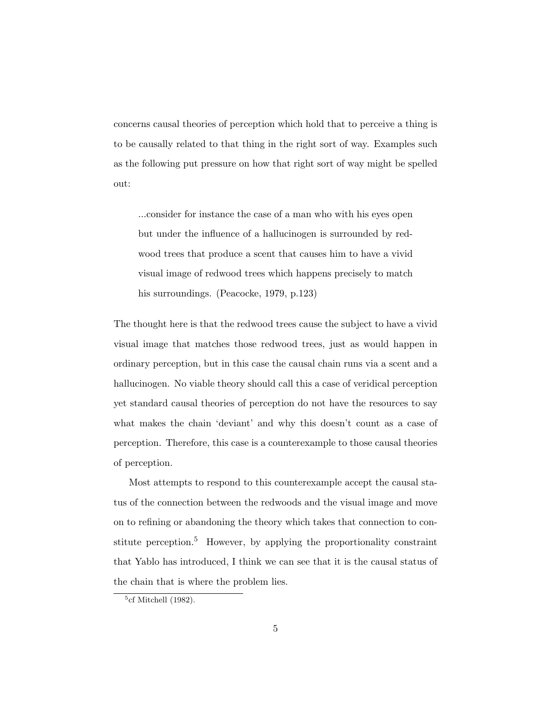concerns causal theories of perception which hold that to perceive a thing is to be causally related to that thing in the right sort of way. Examples such as the following put pressure on how that right sort of way might be spelled out:

...consider for instance the case of a man who with his eyes open but under the influence of a hallucinogen is surrounded by redwood trees that produce a scent that causes him to have a vivid visual image of redwood trees which happens precisely to match his surroundings. (Peacocke, 1979, p.123)

The thought here is that the redwood trees cause the subject to have a vivid visual image that matches those redwood trees, just as would happen in ordinary perception, but in this case the causal chain runs via a scent and a hallucinogen. No viable theory should call this a case of veridical perception yet standard causal theories of perception do not have the resources to say what makes the chain 'deviant' and why this doesn't count as a case of perception. Therefore, this case is a counterexample to those causal theories of perception.

Most attempts to respond to this counterexample accept the causal status of the connection between the redwoods and the visual image and move on to refining or abandoning the theory which takes that connection to constitute perception.<sup>5</sup> However, by applying the proportionality constraint that Yablo has introduced, I think we can see that it is the causal status of the chain that is where the problem lies.

 $5c$ f Mitchell (1982).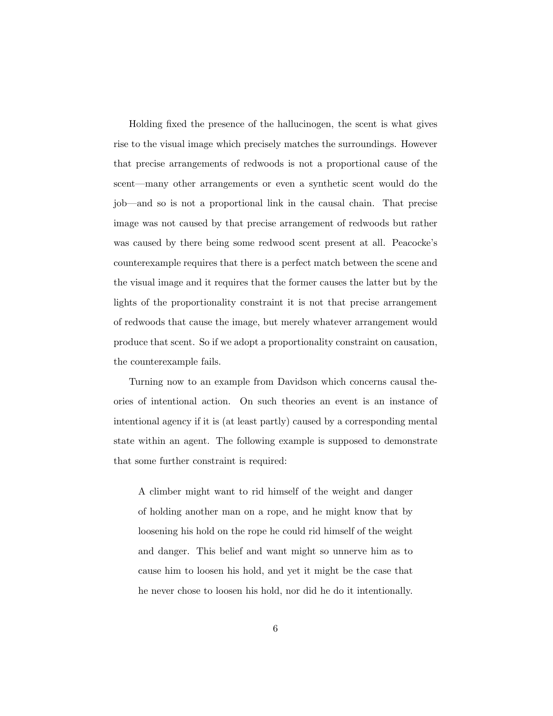Holding fixed the presence of the hallucinogen, the scent is what gives rise to the visual image which precisely matches the surroundings. However that precise arrangements of redwoods is not a proportional cause of the scent—many other arrangements or even a synthetic scent would do the job—and so is not a proportional link in the causal chain. That precise image was not caused by that precise arrangement of redwoods but rather was caused by there being some redwood scent present at all. Peacocke's counterexample requires that there is a perfect match between the scene and the visual image and it requires that the former causes the latter but by the lights of the proportionality constraint it is not that precise arrangement of redwoods that cause the image, but merely whatever arrangement would produce that scent. So if we adopt a proportionality constraint on causation, the counterexample fails.

Turning now to an example from Davidson which concerns causal theories of intentional action. On such theories an event is an instance of intentional agency if it is (at least partly) caused by a corresponding mental state within an agent. The following example is supposed to demonstrate that some further constraint is required:

A climber might want to rid himself of the weight and danger of holding another man on a rope, and he might know that by loosening his hold on the rope he could rid himself of the weight and danger. This belief and want might so unnerve him as to cause him to loosen his hold, and yet it might be the case that he never chose to loosen his hold, nor did he do it intentionally.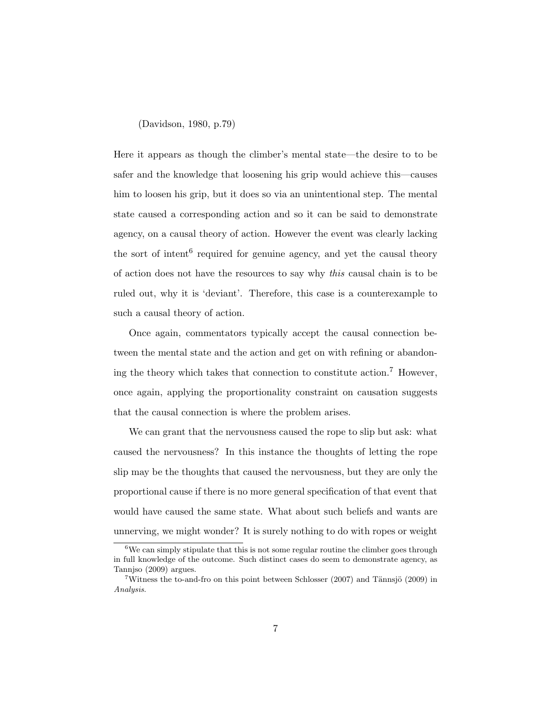(Davidson, 1980, p.79)

Here it appears as though the climber's mental state—the desire to to be safer and the knowledge that loosening his grip would achieve this—causes him to loosen his grip, but it does so via an unintentional step. The mental state caused a corresponding action and so it can be said to demonstrate agency, on a causal theory of action. However the event was clearly lacking the sort of intent<sup>6</sup> required for genuine agency, and yet the causal theory of action does not have the resources to say why *this* causal chain is to be ruled out, why it is 'deviant'. Therefore, this case is a counterexample to such a causal theory of action.

Once again, commentators typically accept the causal connection between the mental state and the action and get on with refining or abandoning the theory which takes that connection to constitute action.<sup>7</sup> However, once again, applying the proportionality constraint on causation suggests that the causal connection is where the problem arises.

We can grant that the nervousness caused the rope to slip but ask: what caused the nervousness? In this instance the thoughts of letting the rope slip may be the thoughts that caused the nervousness, but they are only the proportional cause if there is no more general specification of that event that would have caused the same state. What about such beliefs and wants are unnerving, we might wonder? It is surely nothing to do with ropes or weight

 $6$ We can simply stipulate that this is not some regular routine the climber goes through in full knowledge of the outcome. Such distinct cases do seem to demonstrate agency, as Tannjso (2009) argues.

<sup>&</sup>lt;sup>7</sup>Witness the to-and-fro on this point between Schlosser (2007) and Tännsjö (2009) in *Analysis*.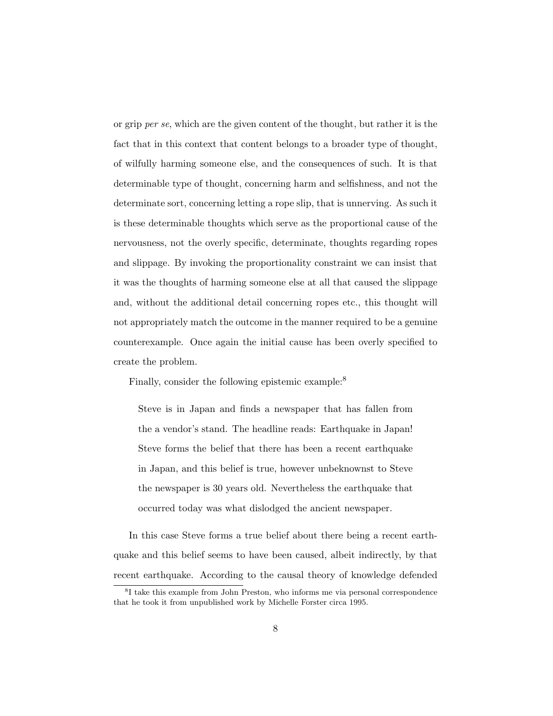or grip *per se*, which are the given content of the thought, but rather it is the fact that in this context that content belongs to a broader type of thought, of wilfully harming someone else, and the consequences of such. It is that determinable type of thought, concerning harm and selfishness, and not the determinate sort, concerning letting a rope slip, that is unnerving. As such it is these determinable thoughts which serve as the proportional cause of the nervousness, not the overly specific, determinate, thoughts regarding ropes and slippage. By invoking the proportionality constraint we can insist that it was the thoughts of harming someone else at all that caused the slippage and, without the additional detail concerning ropes etc., this thought will not appropriately match the outcome in the manner required to be a genuine counterexample. Once again the initial cause has been overly specified to create the problem.

Finally, consider the following epistemic example:<sup>8</sup>

Steve is in Japan and finds a newspaper that has fallen from the a vendor's stand. The headline reads: Earthquake in Japan! Steve forms the belief that there has been a recent earthquake in Japan, and this belief is true, however unbeknownst to Steve the newspaper is 30 years old. Nevertheless the earthquake that occurred today was what dislodged the ancient newspaper.

In this case Steve forms a true belief about there being a recent earthquake and this belief seems to have been caused, albeit indirectly, by that recent earthquake. According to the causal theory of knowledge defended

<sup>8</sup>I take this example from John Preston, who informs me via personal correspondence that he took it from unpublished work by Michelle Forster circa 1995.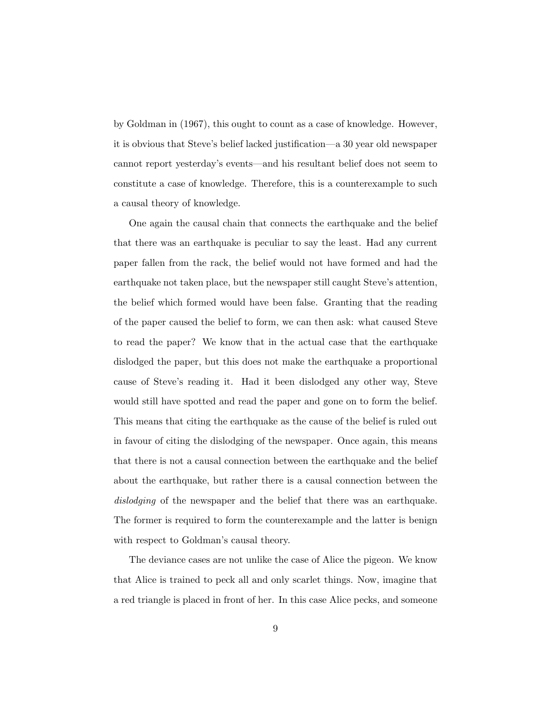by Goldman in (1967), this ought to count as a case of knowledge. However, it is obvious that Steve's belief lacked justification—a 30 year old newspaper cannot report yesterday's events—and his resultant belief does not seem to constitute a case of knowledge. Therefore, this is a counterexample to such a causal theory of knowledge.

One again the causal chain that connects the earthquake and the belief that there was an earthquake is peculiar to say the least. Had any current paper fallen from the rack, the belief would not have formed and had the earthquake not taken place, but the newspaper still caught Steve's attention, the belief which formed would have been false. Granting that the reading of the paper caused the belief to form, we can then ask: what caused Steve to read the paper? We know that in the actual case that the earthquake dislodged the paper, but this does not make the earthquake a proportional cause of Steve's reading it. Had it been dislodged any other way, Steve would still have spotted and read the paper and gone on to form the belief. This means that citing the earthquake as the cause of the belief is ruled out in favour of citing the dislodging of the newspaper. Once again, this means that there is not a causal connection between the earthquake and the belief about the earthquake, but rather there is a causal connection between the *dislodging* of the newspaper and the belief that there was an earthquake. The former is required to form the counterexample and the latter is benign with respect to Goldman's causal theory.

The deviance cases are not unlike the case of Alice the pigeon. We know that Alice is trained to peck all and only scarlet things. Now, imagine that a red triangle is placed in front of her. In this case Alice pecks, and someone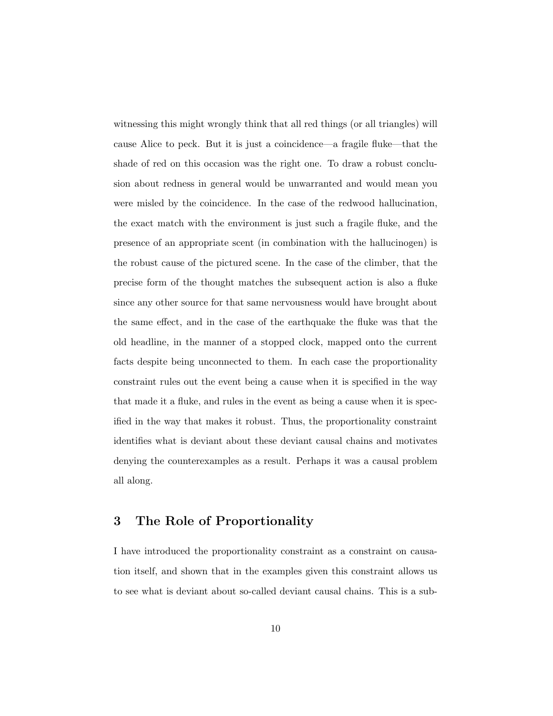witnessing this might wrongly think that all red things (or all triangles) will cause Alice to peck. But it is just a coincidence—a fragile fluke—that the shade of red on this occasion was the right one. To draw a robust conclusion about redness in general would be unwarranted and would mean you were misled by the coincidence. In the case of the redwood hallucination, the exact match with the environment is just such a fragile fluke, and the presence of an appropriate scent (in combination with the hallucinogen) is the robust cause of the pictured scene. In the case of the climber, that the precise form of the thought matches the subsequent action is also a fluke since any other source for that same nervousness would have brought about the same effect, and in the case of the earthquake the fluke was that the old headline, in the manner of a stopped clock, mapped onto the current facts despite being unconnected to them. In each case the proportionality constraint rules out the event being a cause when it is specified in the way that made it a fluke, and rules in the event as being a cause when it is specified in the way that makes it robust. Thus, the proportionality constraint identifies what is deviant about these deviant causal chains and motivates denying the counterexamples as a result. Perhaps it was a causal problem all along.

## 3 The Role of Proportionality

I have introduced the proportionality constraint as a constraint on causation itself, and shown that in the examples given this constraint allows us to see what is deviant about so-called deviant causal chains. This is a sub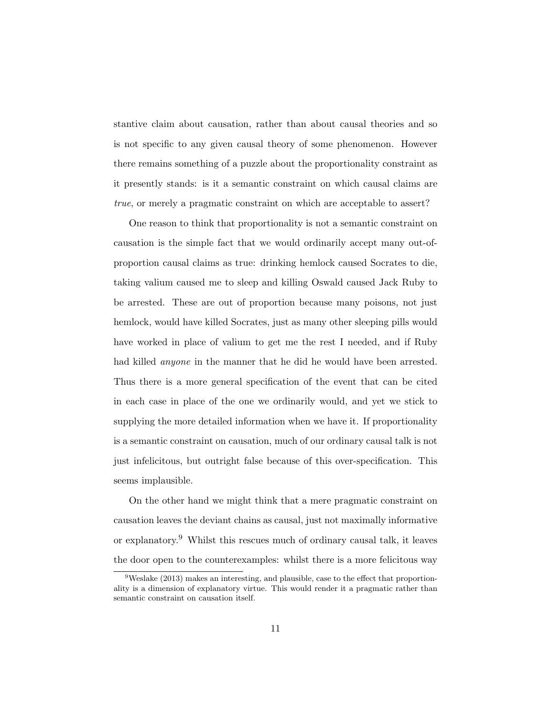stantive claim about causation, rather than about causal theories and so is not specific to any given causal theory of some phenomenon. However there remains something of a puzzle about the proportionality constraint as it presently stands: is it a semantic constraint on which causal claims are *true*, or merely a pragmatic constraint on which are acceptable to assert?

One reason to think that proportionality is not a semantic constraint on causation is the simple fact that we would ordinarily accept many out-ofproportion causal claims as true: drinking hemlock caused Socrates to die, taking valium caused me to sleep and killing Oswald caused Jack Ruby to be arrested. These are out of proportion because many poisons, not just hemlock, would have killed Socrates, just as many other sleeping pills would have worked in place of valium to get me the rest I needed, and if Ruby had killed *anyone* in the manner that he did he would have been arrested. Thus there is a more general specification of the event that can be cited in each case in place of the one we ordinarily would, and yet we stick to supplying the more detailed information when we have it. If proportionality is a semantic constraint on causation, much of our ordinary causal talk is not just infelicitous, but outright false because of this over-specification. This seems implausible.

On the other hand we might think that a mere pragmatic constraint on causation leaves the deviant chains as causal, just not maximally informative or explanatory.<sup>9</sup> Whilst this rescues much of ordinary causal talk, it leaves the door open to the counterexamples: whilst there is a more felicitous way

 $9$ Weslake (2013) makes an interesting, and plausible, case to the effect that proportionality is a dimension of explanatory virtue. This would render it a pragmatic rather than semantic constraint on causation itself.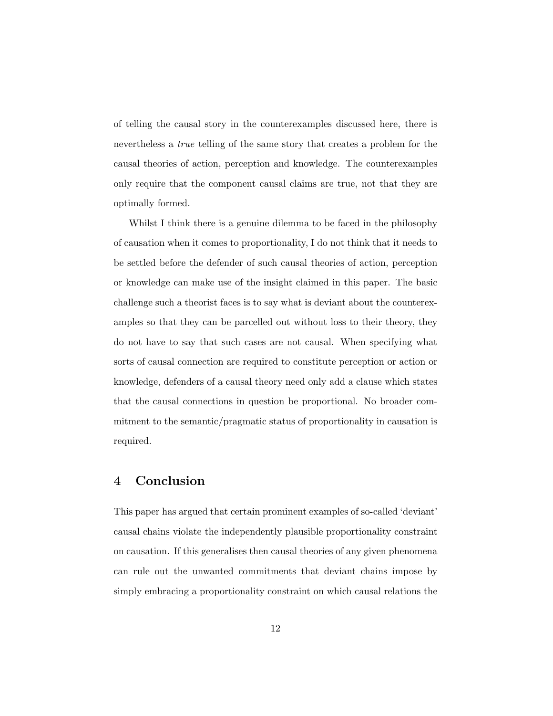of telling the causal story in the counterexamples discussed here, there is nevertheless a *true* telling of the same story that creates a problem for the causal theories of action, perception and knowledge. The counterexamples only require that the component causal claims are true, not that they are optimally formed.

Whilst I think there is a genuine dilemma to be faced in the philosophy of causation when it comes to proportionality, I do not think that it needs to be settled before the defender of such causal theories of action, perception or knowledge can make use of the insight claimed in this paper. The basic challenge such a theorist faces is to say what is deviant about the counterexamples so that they can be parcelled out without loss to their theory, they do not have to say that such cases are not causal. When specifying what sorts of causal connection are required to constitute perception or action or knowledge, defenders of a causal theory need only add a clause which states that the causal connections in question be proportional. No broader commitment to the semantic/pragmatic status of proportionality in causation is required.

## 4 Conclusion

This paper has argued that certain prominent examples of so-called 'deviant' causal chains violate the independently plausible proportionality constraint on causation. If this generalises then causal theories of any given phenomena can rule out the unwanted commitments that deviant chains impose by simply embracing a proportionality constraint on which causal relations the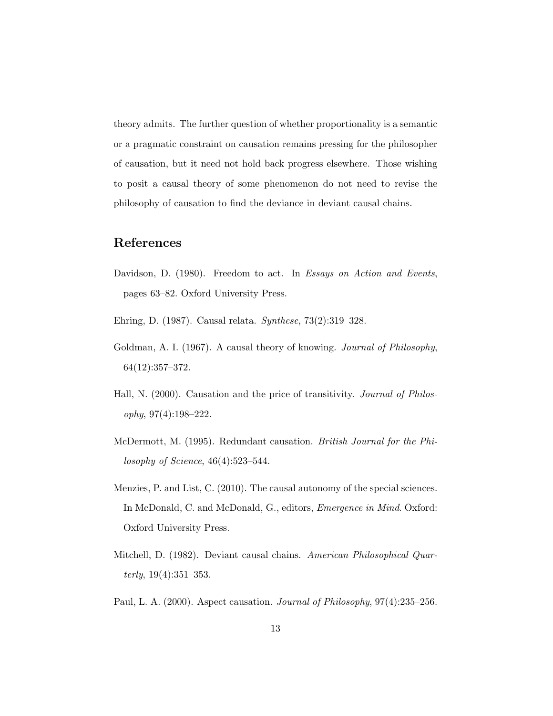theory admits. The further question of whether proportionality is a semantic or a pragmatic constraint on causation remains pressing for the philosopher of causation, but it need not hold back progress elsewhere. Those wishing to posit a causal theory of some phenomenon do not need to revise the philosophy of causation to find the deviance in deviant causal chains.

# References

- Davidson, D. (1980). Freedom to act. In *Essays on Action and Events*, pages 63–82. Oxford University Press.
- Ehring, D. (1987). Causal relata. *Synthese*, 73(2):319–328.
- Goldman, A. I. (1967). A causal theory of knowing. *Journal of Philosophy*, 64(12):357–372.
- Hall, N. (2000). Causation and the price of transitivity. *Journal of Philosophy*, 97(4):198–222.
- McDermott, M. (1995). Redundant causation. *British Journal for the Philosophy of Science*, 46(4):523–544.
- Menzies, P. and List, C. (2010). The causal autonomy of the special sciences. In McDonald, C. and McDonald, G., editors, *Emergence in Mind*. Oxford: Oxford University Press.
- Mitchell, D. (1982). Deviant causal chains. *American Philosophical Quarterly*, 19(4):351–353.
- Paul, L. A. (2000). Aspect causation. *Journal of Philosophy*, 97(4):235–256.